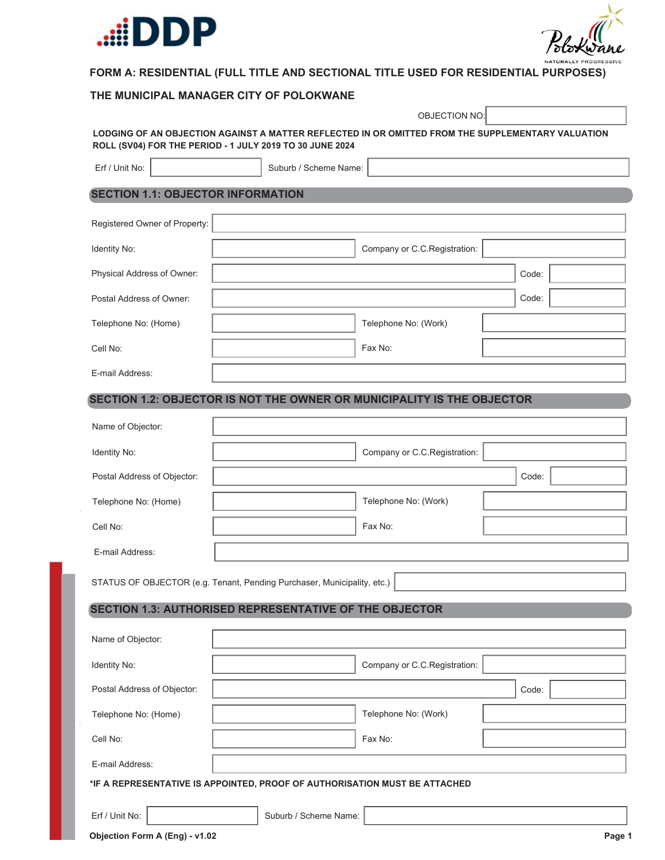



### **THE MUNICIPAL MANAGER CITY OF POLOKWANE**

|                                                                            | OBJECTION NO: |                       |                                                                                                   |  |       |
|----------------------------------------------------------------------------|---------------|-----------------------|---------------------------------------------------------------------------------------------------|--|-------|
| ROLL (SV04) FOR THE PERIOD - 1 JULY 2019 TO 30 JUNE 2024                   |               |                       | LODGING OF AN OBJECTION AGAINST A MATTER REFLECTED IN OR OMITTED FROM THE SUPPLEMENTARY VALUATION |  |       |
| Erf / Unit No:                                                             |               | Suburb / Scheme Name: |                                                                                                   |  |       |
| <b>SECTION 1.1: OBJECTOR INFORMATION</b>                                   |               |                       |                                                                                                   |  |       |
| Registered Owner of Property:                                              |               |                       |                                                                                                   |  |       |
| Identity No:                                                               |               |                       | Company or C.C.Registration:                                                                      |  |       |
| Physical Address of Owner:                                                 |               |                       |                                                                                                   |  | Code: |
| Postal Address of Owner:                                                   |               |                       |                                                                                                   |  | Code: |
| Telephone No: (Home)                                                       |               |                       | Telephone No: (Work)                                                                              |  |       |
| Cell No:                                                                   |               |                       | Fax No:                                                                                           |  |       |
| E-mail Address:                                                            |               |                       |                                                                                                   |  |       |
| SECTION 1.2: OBJECTOR IS NOT THE OWNER OR MUNICIPALITY IS THE OBJECTOR     |               |                       |                                                                                                   |  |       |
| Name of Objector:                                                          |               |                       |                                                                                                   |  |       |
| Identity No:                                                               |               |                       | Company or C.C.Registration:                                                                      |  |       |
| Postal Address of Objector:                                                |               |                       |                                                                                                   |  | Code: |
| Telephone No: (Home)                                                       |               |                       | Telephone No: (Work)                                                                              |  |       |
| Cell No:                                                                   |               |                       | Fax No:                                                                                           |  |       |
| E-mail Address:                                                            |               |                       |                                                                                                   |  |       |
| STATUS OF OBJECTOR (e.g. Tenant, Pending Purchaser, Municipality, etc.)    |               |                       |                                                                                                   |  |       |
| <b>SECTION 1.3: AUTHORISED REPRESENTATIVE OF THE OBJECTOR</b>              |               |                       |                                                                                                   |  |       |
| Name of Objector:                                                          |               |                       |                                                                                                   |  |       |
| Identity No:                                                               |               |                       | Company or C.C.Registration:                                                                      |  |       |
| Postal Address of Objector:                                                |               |                       |                                                                                                   |  | Code: |
| Telephone No: (Home)                                                       |               |                       | Telephone No: (Work)                                                                              |  |       |
| Cell No:                                                                   |               |                       | Fax No:                                                                                           |  |       |
| E-mail Address:                                                            |               |                       |                                                                                                   |  |       |
| *IF A REPRESENTATIVE IS APPOINTED, PROOF OF AUTHORISATION MUST BE ATTACHED |               |                       |                                                                                                   |  |       |
| Erf / Unit No:                                                             |               | Suburb / Scheme Name: |                                                                                                   |  |       |

**Objection Form A (Eng) - v1.02 Page 1**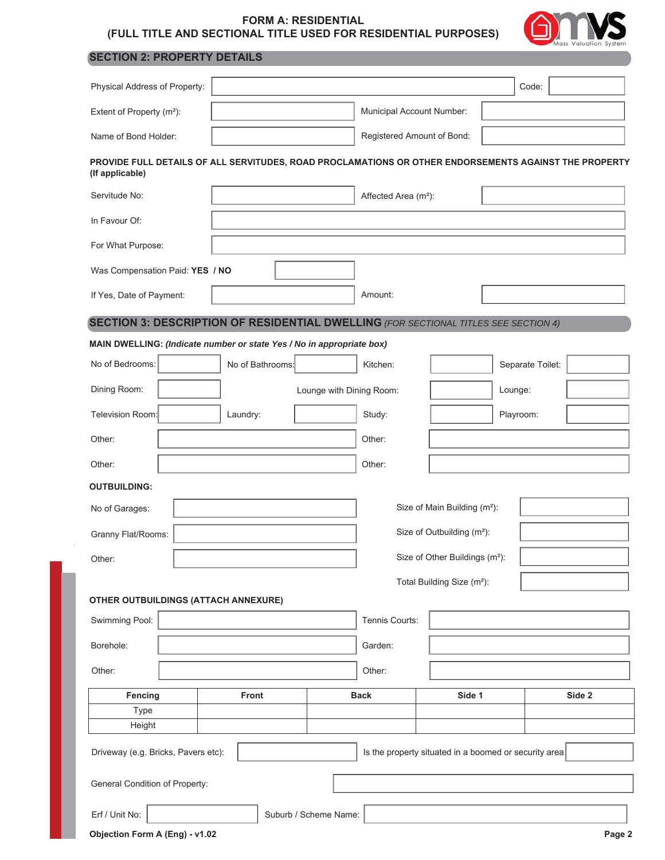

# **SECTION 2: PROPERTY DETAILS**

| Physical Address of Property:                                                                                            |                                          |                  |                          |                                  |                                            | Code:            |        |
|--------------------------------------------------------------------------------------------------------------------------|------------------------------------------|------------------|--------------------------|----------------------------------|--------------------------------------------|------------------|--------|
| Extent of Property (m <sup>2</sup> ):                                                                                    |                                          |                  |                          | Municipal Account Number:        |                                            |                  |        |
| Name of Bond Holder:                                                                                                     |                                          |                  |                          | Registered Amount of Bond:       |                                            |                  |        |
| PROVIDE FULL DETAILS OF ALL SERVITUDES, ROAD PROCLAMATIONS OR OTHER ENDORSEMENTS AGAINST THE PROPERTY<br>(If applicable) |                                          |                  |                          |                                  |                                            |                  |        |
| Servitude No:                                                                                                            |                                          |                  |                          | Affected Area (m <sup>2</sup> ): |                                            |                  |        |
| In Favour Of:                                                                                                            |                                          |                  |                          |                                  |                                            |                  |        |
| For What Purpose:                                                                                                        |                                          |                  |                          |                                  |                                            |                  |        |
| Was Compensation Paid: YES / NO                                                                                          |                                          |                  |                          |                                  |                                            |                  |        |
| If Yes, Date of Payment:                                                                                                 |                                          |                  |                          | Amount:                          |                                            |                  |        |
| <b>SECTION 3: DESCRIPTION OF RESIDENTIAL DWELLING (FOR SECTIONAL TITLES SEE SECTION 4)</b>                               |                                          |                  |                          |                                  |                                            |                  |        |
| MAIN DWELLING: (Indicate number or state Yes / No in appropriate box)                                                    |                                          |                  |                          |                                  |                                            |                  |        |
| No of Bedrooms:                                                                                                          |                                          | No of Bathrooms: |                          | Kitchen:                         |                                            | Separate Toilet: |        |
| Dining Room:                                                                                                             |                                          |                  | Lounge with Dining Room: |                                  |                                            | Lounge:          |        |
| Television Room:                                                                                                         | Laundry:                                 |                  |                          | Study:                           |                                            | Playroom:        |        |
| Other:                                                                                                                   |                                          |                  |                          | Other:                           |                                            |                  |        |
| Other:                                                                                                                   |                                          |                  |                          | Other:                           |                                            |                  |        |
| <b>OUTBUILDING:</b>                                                                                                      |                                          |                  |                          |                                  |                                            |                  |        |
| No of Garages:                                                                                                           |                                          |                  |                          |                                  | Size of Main Building (m <sup>2</sup> ):   |                  |        |
| Granny Flat/Rooms:                                                                                                       |                                          |                  |                          |                                  | Size of Outbuilding (m <sup>2</sup> ):     |                  |        |
| Other:                                                                                                                   |                                          |                  |                          |                                  | Size of Other Buildings (m <sup>2</sup> ): |                  |        |
|                                                                                                                          |                                          |                  |                          |                                  | Total Building Size (m <sup>2</sup> ):     |                  |        |
| <b>OTHER OUTBUILDINGS (ATTACH ANNEXURE)</b>                                                                              |                                          |                  |                          |                                  |                                            |                  |        |
| Swimming Pool:                                                                                                           |                                          |                  |                          | Tennis Courts:                   |                                            |                  |        |
| Borehole:                                                                                                                |                                          |                  |                          | Garden:                          |                                            |                  |        |
| Other:<br>Other:                                                                                                         |                                          |                  |                          |                                  |                                            |                  |        |
| Fencing                                                                                                                  | <b>Front</b>                             |                  |                          | <b>Back</b>                      | Side 1                                     |                  | Side 2 |
| Type<br>Height                                                                                                           |                                          |                  |                          |                                  |                                            |                  |        |
| Driveway (e.g. Bricks, Pavers etc):<br>Is the property situated in a boomed or security area                             |                                          |                  |                          |                                  |                                            |                  |        |
| General Condition of Property:                                                                                           |                                          |                  |                          |                                  |                                            |                  |        |
| Erf / Unit No:                                                                                                           |                                          |                  | Suburb / Scheme Name:    |                                  |                                            |                  |        |
|                                                                                                                          | Objection Form A (Eng) - v1.02<br>Page 2 |                  |                          |                                  |                                            |                  |        |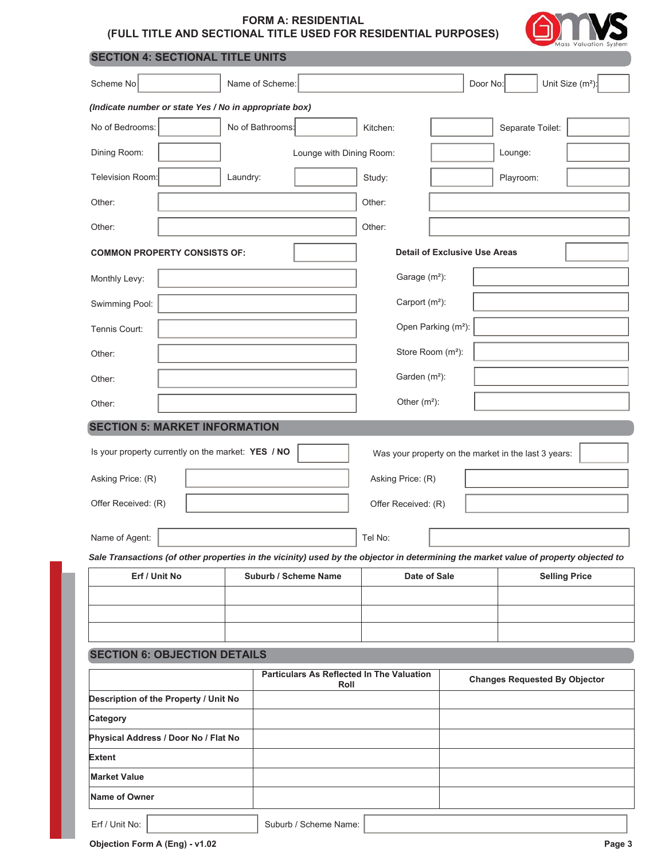

|  |  | <b>SECTION 4: SECTIONAL TITLE UNITS</b> |  |  |
|--|--|-----------------------------------------|--|--|
|--|--|-----------------------------------------|--|--|

| Scheme No                                                                                                                                             | Name of Scheme:  |                                                          |                                      |                                 | Door No:                                             | Unit Size (m <sup>2</sup> ):         |  |
|-------------------------------------------------------------------------------------------------------------------------------------------------------|------------------|----------------------------------------------------------|--------------------------------------|---------------------------------|------------------------------------------------------|--------------------------------------|--|
| (Indicate number or state Yes / No in appropriate box)                                                                                                |                  |                                                          |                                      |                                 |                                                      |                                      |  |
| No of Bedrooms:                                                                                                                                       | No of Bathrooms: |                                                          | Kitchen:                             |                                 | Separate Toilet:                                     |                                      |  |
| Dining Room:                                                                                                                                          |                  | Lounge with Dining Room:                                 |                                      |                                 | Lounge:                                              |                                      |  |
| Television Room:                                                                                                                                      | Laundry:         |                                                          | Study:                               |                                 | Playroom:                                            |                                      |  |
| Other:                                                                                                                                                |                  |                                                          | Other:                               |                                 |                                                      |                                      |  |
| Other:                                                                                                                                                |                  |                                                          | Other:                               |                                 |                                                      |                                      |  |
| <b>COMMON PROPERTY CONSISTS OF:</b>                                                                                                                   |                  |                                                          | <b>Detail of Exclusive Use Areas</b> |                                 |                                                      |                                      |  |
| Monthly Levy:                                                                                                                                         |                  |                                                          | Garage (m <sup>2</sup> ):            |                                 |                                                      |                                      |  |
| Swimming Pool:                                                                                                                                        |                  |                                                          | Carport (m <sup>2</sup> ):           |                                 |                                                      |                                      |  |
| Tennis Court:                                                                                                                                         |                  |                                                          |                                      | Open Parking (m <sup>2</sup> ): |                                                      |                                      |  |
| Other:                                                                                                                                                |                  |                                                          |                                      | Store Room (m <sup>2</sup> ):   |                                                      |                                      |  |
| Other:                                                                                                                                                |                  |                                                          | Garden (m <sup>2</sup> ):            |                                 |                                                      |                                      |  |
| Other:                                                                                                                                                |                  |                                                          | Other $(m2)$ :                       |                                 |                                                      |                                      |  |
| <b>SECTION 5: MARKET INFORMATION</b>                                                                                                                  |                  |                                                          |                                      |                                 |                                                      |                                      |  |
| Is your property currently on the market: YES / NO                                                                                                    |                  |                                                          |                                      |                                 | Was your property on the market in the last 3 years: |                                      |  |
| Asking Price: (R)                                                                                                                                     |                  |                                                          | Asking Price: (R)                    |                                 |                                                      |                                      |  |
| Offer Received: (R)                                                                                                                                   |                  |                                                          | Offer Received: (R)                  |                                 |                                                      |                                      |  |
|                                                                                                                                                       |                  |                                                          |                                      |                                 |                                                      |                                      |  |
| Name of Agent:                                                                                                                                        |                  |                                                          | Tel No:                              |                                 |                                                      |                                      |  |
| Sale Transactions (of other properties in the vicinity) used by the objector in determining the market value of property objected to<br>Erf / Unit No |                  | Suburb / Scheme Name                                     |                                      |                                 |                                                      | <b>Selling Price</b>                 |  |
|                                                                                                                                                       |                  |                                                          | Date of Sale                         |                                 |                                                      |                                      |  |
|                                                                                                                                                       |                  |                                                          |                                      |                                 |                                                      |                                      |  |
|                                                                                                                                                       |                  |                                                          |                                      |                                 |                                                      |                                      |  |
| <b>SECTION 6: OBJECTION DETAILS</b>                                                                                                                   |                  |                                                          |                                      |                                 |                                                      |                                      |  |
|                                                                                                                                                       |                  | <b>Particulars As Reflected In The Valuation</b><br>Roll |                                      |                                 |                                                      | <b>Changes Requested By Objector</b> |  |
| Description of the Property / Unit No                                                                                                                 |                  |                                                          |                                      |                                 |                                                      |                                      |  |
| Category                                                                                                                                              |                  |                                                          |                                      |                                 |                                                      |                                      |  |
| Physical Address / Door No / Flat No                                                                                                                  |                  |                                                          |                                      |                                 |                                                      |                                      |  |
| Extent                                                                                                                                                |                  |                                                          |                                      |                                 |                                                      |                                      |  |
| <b>Market Value</b>                                                                                                                                   |                  |                                                          |                                      |                                 |                                                      |                                      |  |
| Name of Owner                                                                                                                                         |                  |                                                          |                                      |                                 |                                                      |                                      |  |
| Erf / Unit No:                                                                                                                                        |                  | Suburb / Scheme Name:                                    |                                      |                                 |                                                      |                                      |  |